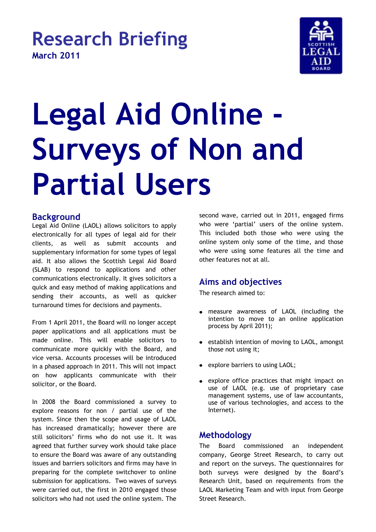# **Research Briefing March 2011**



# **Legal Aid Online - Surveys of Non and Partial Users**

#### **Background**

Legal Aid Online (LAOL) allows solicitors to apply electronically for all types of legal aid for their clients, as well as submit accounts and supplementary information for some types of legal aid. It also allows the Scottish Legal Aid Board (SLAB) to respond to applications and other communications electronically. It gives solicitors a quick and easy method of making applications and sending their accounts, as well as quicker turnaround times for decisions and payments.

From 1 April 2011, the Board will no longer accept paper applications and all applications must be made online. This will enable solicitors to communicate more quickly with the Board, and vice versa. Accounts processes will be introduced in a phased approach in 2011. This will not impact on how applicants communicate with their solicitor, or the Board.

In 2008 the Board commissioned a survey to explore reasons for non / partial use of the system. Since then the scope and usage of LAOL has increased dramatically; however there are still solicitors' firms who do not use it. It was agreed that further survey work should take place to ensure the Board was aware of any outstanding issues and barriers solicitors and firms may have in preparing for the complete switchover to online submission for applications. Two waves of surveys were carried out, the first in 2010 engaged those solicitors who had not used the online system. The

second wave, carried out in 2011, engaged firms who were 'partial' users of the online system. This included both those who were using the online system only some of the time, and those who were using some features all the time and other features not at all.

### **Aims and objectives**

The research aimed to:

- measure awareness of LAOL (including the intention to move to an online application process by April 2011);
- establish intention of moving to LAOL, amongst  $\bullet$ those not using it;
- explore barriers to using LAOL;
- explore office practices that might impact on use of LAOL (e.g. use of proprietary case management systems, use of law accountants, use of various technologies, and access to the Internet).

### **Methodology**

The Board commissioned an independent company, George Street Research, to carry out and report on the surveys. The questionnaires for both surveys were designed by the Board's Research Unit, based on requirements from the LAOL Marketing Team and with input from George Street Research.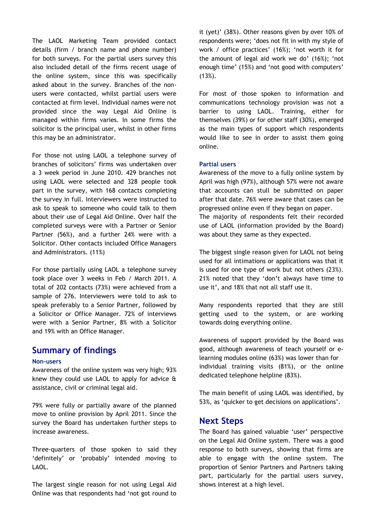The LAOL Marketing Team provided contact details (firm / branch name and phone number) for both surveys. For the partial users survey this also included detail of the firms recent usage of the online system, since this was specifically asked about in the survey. Branches of the nonusers were contacted, whilst partial users were contacted at firm level. Individual names were not provided since the way Legal Aid Online is managed within firms varies. In some firms the solicitor is the principal user, whilst in other firms this may be an administrator.

For those not using LAOL a telephone survey of branches of solicitors' firms was undertaken over a 3 week period in June 2010. 429 branches not using LAOL were selected and 328 people took part in the survey, with 168 contacts completing the survey in full. Interviewers were instructed to ask to speak to someone who could talk to them about their use of Legal Aid Online. Over half the completed surveys were with a Partner or Senior Partner (56%), and a further 24% were with a Solicitor. Other contacts included Office Managers and Administrators. (11%)

For those partially using LAOL a telephone survey took place over 3 weeks in Feb / March 2011. A total of 202 contacts (73%) were achieved from a sample of 276. Interviewers were told to ask to speak preferably to a Senior Partner, followed by a Solicitor or Office Manager. 72% of interviews were with a Senior Partner, 8% with a Solicitor and 19% with an Office Manager.

#### **Summary of findings**

#### **Non-users**

Awareness of the online system was very high; 93% knew they could use LAOL to apply for advice & assistance, civil or criminal legal aid.

79% were fully or partially aware of the planned move to online provision by April 2011. Since the survey the Board has undertaken further steps to increase awareness.

Three-quarters of those spoken to said they 'definitely' or 'probably' intended moving to LAOL.

The largest single reason for not using Legal Aid Online was that respondents had 'not got round to

it (yet)' (38%). Other reasons given by over 10% of respondents were; 'does not fit in with my style of work / office practices' (16%); 'not worth it for the amount of legal aid work we do' (16%); 'not enough time' (15%) and 'not good with computers'  $(13%)$ .

For most of those spoken to information and communications technology provision was not a barrier to using LAOL. Training, either for themselves (39%) or for other staff (30%), emerged as the main types of support which respondents would like to see in order to assist them going online.

#### **Partial users**

Awareness of the move to a fully online system by April was high (97%), although 57% were not aware that accounts can stull be submitted on paper after that date. 76% were aware that cases can be progressed online even if they began on paper. The majority of respondents felt their recorded use of LAOL (information provided by the Board) was about they same as they expected.

The biggest single reason given for LAOL not being used for all intimations or applications was that it is used for one type of work but not others (23%). 21% noted that they 'don't always have time to use it', and 18% that not all staff use it.

Many respondents reported that they are still getting used to the system, or are working towards doing everything online.

Awareness of support provided by the Board was good, although awareness of teach yourself or elearning modules online (63%) was lower than for individual training visits (81%), or the online dedicated telephone helpline (83%).

The main benefit of using LAOL was identified, by 53%, as 'quicker to get decisions on applications'.

#### **Next Steps**

The Board has gained valuable 'user' perspective on the Legal Aid Online system. There was a good response to both surveys, showing that firms are able to engage with the online system. The proportion of Senior Partners and Partners taking part, particularly for the partial users survey, shows interest at a high level.